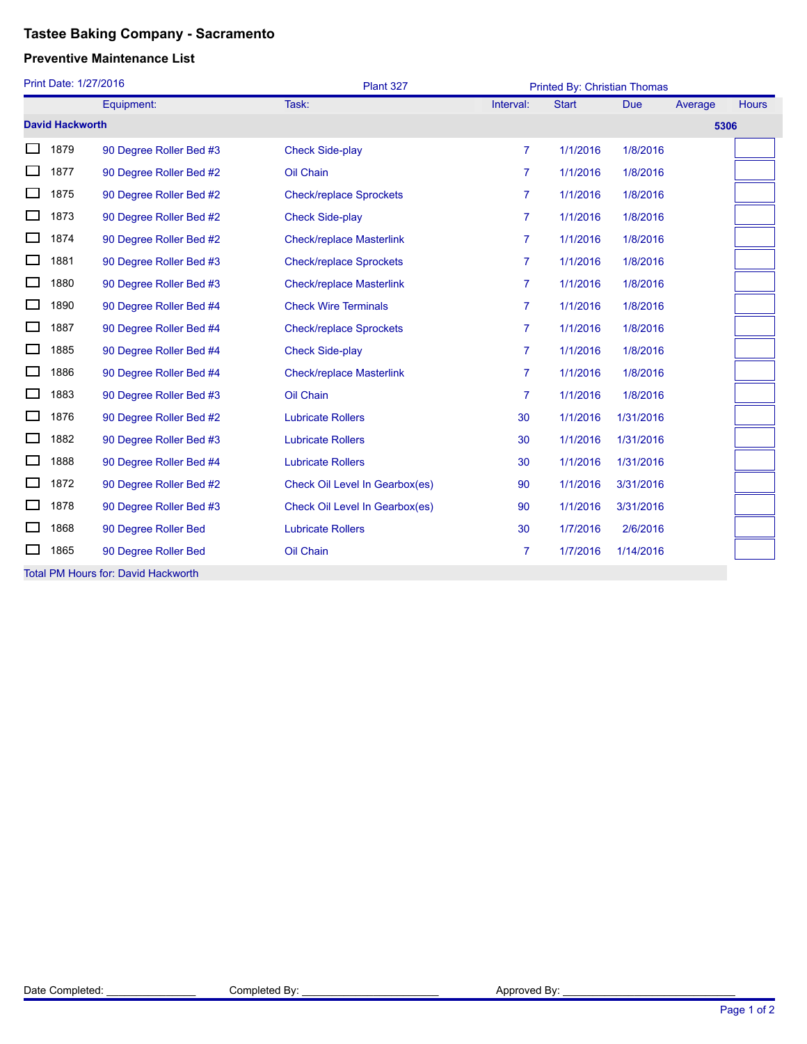## **Tastee Baking Company - Sacramento**

## **Preventive Maintenance List**

| Print Date: 1/27/2016                      |                        |                         | Plant 327                       |                | Printed By: Christian Thomas |            |         |              |  |  |
|--------------------------------------------|------------------------|-------------------------|---------------------------------|----------------|------------------------------|------------|---------|--------------|--|--|
|                                            |                        | Equipment:              | Task:                           | Interval:      | <b>Start</b>                 | <b>Due</b> | Average | <b>Hours</b> |  |  |
|                                            | <b>David Hackworth</b> |                         |                                 |                |                              |            | 5306    |              |  |  |
|                                            | 1879                   | 90 Degree Roller Bed #3 | <b>Check Side-play</b>          | $\overline{7}$ | 1/1/2016                     | 1/8/2016   |         |              |  |  |
|                                            | 1877                   | 90 Degree Roller Bed #2 | Oil Chain                       | $\overline{7}$ | 1/1/2016                     | 1/8/2016   |         |              |  |  |
|                                            | 1875                   | 90 Degree Roller Bed #2 | <b>Check/replace Sprockets</b>  | $\overline{7}$ | 1/1/2016                     | 1/8/2016   |         |              |  |  |
|                                            | 1873                   | 90 Degree Roller Bed #2 | <b>Check Side-play</b>          | $\overline{7}$ | 1/1/2016                     | 1/8/2016   |         |              |  |  |
|                                            | 1874                   | 90 Degree Roller Bed #2 | <b>Check/replace Masterlink</b> | 7              | 1/1/2016                     | 1/8/2016   |         |              |  |  |
|                                            | 1881                   | 90 Degree Roller Bed #3 | <b>Check/replace Sprockets</b>  | $\overline{7}$ | 1/1/2016                     | 1/8/2016   |         |              |  |  |
|                                            | 1880                   | 90 Degree Roller Bed #3 | <b>Check/replace Masterlink</b> | $\overline{7}$ | 1/1/2016                     | 1/8/2016   |         |              |  |  |
|                                            | 1890                   | 90 Degree Roller Bed #4 | <b>Check Wire Terminals</b>     | 7              | 1/1/2016                     | 1/8/2016   |         |              |  |  |
|                                            | 1887                   | 90 Degree Roller Bed #4 | <b>Check/replace Sprockets</b>  | 7              | 1/1/2016                     | 1/8/2016   |         |              |  |  |
| □                                          | 1885                   | 90 Degree Roller Bed #4 | <b>Check Side-play</b>          | $\overline{7}$ | 1/1/2016                     | 1/8/2016   |         |              |  |  |
|                                            | 1886                   | 90 Degree Roller Bed #4 | <b>Check/replace Masterlink</b> | $\overline{7}$ | 1/1/2016                     | 1/8/2016   |         |              |  |  |
|                                            | 1883                   | 90 Degree Roller Bed #3 | Oil Chain                       | $\overline{7}$ | 1/1/2016                     | 1/8/2016   |         |              |  |  |
|                                            | 1876                   | 90 Degree Roller Bed #2 | <b>Lubricate Rollers</b>        | 30             | 1/1/2016                     | 1/31/2016  |         |              |  |  |
|                                            | 1882                   | 90 Degree Roller Bed #3 | <b>Lubricate Rollers</b>        | 30             | 1/1/2016                     | 1/31/2016  |         |              |  |  |
|                                            | 1888                   | 90 Degree Roller Bed #4 | <b>Lubricate Rollers</b>        | 30             | 1/1/2016                     | 1/31/2016  |         |              |  |  |
|                                            | 1872                   | 90 Degree Roller Bed #2 | Check Oil Level In Gearbox(es)  | 90             | 1/1/2016                     | 3/31/2016  |         |              |  |  |
|                                            | 1878                   | 90 Degree Roller Bed #3 | Check Oil Level In Gearbox(es)  | 90             | 1/1/2016                     | 3/31/2016  |         |              |  |  |
|                                            | 1868                   | 90 Degree Roller Bed    | <b>Lubricate Rollers</b>        | 30             | 1/7/2016                     | 2/6/2016   |         |              |  |  |
|                                            | 1865                   | 90 Degree Roller Bed    | Oil Chain                       | $\overline{7}$ | 1/7/2016                     | 1/14/2016  |         |              |  |  |
| <b>Total PM Hours for: David Hackworth</b> |                        |                         |                                 |                |                              |            |         |              |  |  |